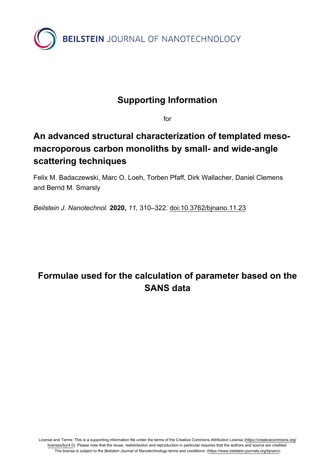

## **Supporting Information**

for

## **An advanced structural characterization of templated mesomacroporous carbon monoliths by small- and wide-angle scattering techniques**

Felix M. Badaczewski, Marc O. Loeh, Torben Pfaff, Dirk Wallacher, Daniel Clemens and Bernd M. Smarsly

*Beilstein J. Nanotechnol.* **2020,** *11,* 310–322. [doi:10.3762/bjnano.11.23](https://doi.org/10.3762%2Fbjnano.11.23)

## **Formulae used for the calculation of parameter based on the SANS data**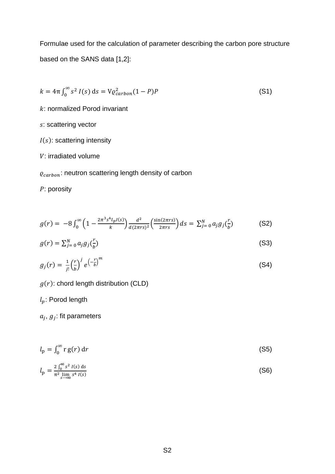Formulae used for the calculation of parameter describing the carbon pore structure based on the SANS data [1,2]:

$$
k = 4\pi \int_0^\infty s^2 I(s) \, ds = V \varrho_{carbon}^2 (1 - P) P \tag{S1}
$$

: normalized Porod invariant

- s: scattering vector
- $I(s)$ : scattering intensity
- V: irradiated volume
- $\varrho_{carbon}$ : neutron scattering length density of carbon

P: porosity

$$
g(r) = -8 \int_0^{\infty} \left(1 - \frac{2\pi^3 s^4 l_p I(s)}{k} \right) \frac{d^2}{d(2\pi rs)^2} \left(\frac{\sin(2\pi rs)}{2\pi rs}\right) ds = \sum_{j=0}^{N} a_j g_j \left(\frac{r}{b}\right)
$$
(S2)

$$
g(r) = \sum_{j=0}^{N} a_j g_j(\frac{r}{b})
$$
 (S3)

$$
g_j(r) = \frac{1}{j!} \left(\frac{r}{b}\right)^j e^{\left(-\frac{r}{b}\right)^m} \tag{S4}
$$

 $g(r)$ : chord length distribution (CLD)

 $l_p$ : Porod length

 $a_i, g_j$ : fit parameters

$$
l_{\rm p} = \int_0^\infty r \, g(r) \, \mathrm{d}r \tag{S5}
$$

$$
l_{\rm p} = \frac{2 \int_0^{\infty} s^2 I(s) \, ds}{\pi^2 \lim_{s \to \infty} s^4 I(s)}
$$
(S6)